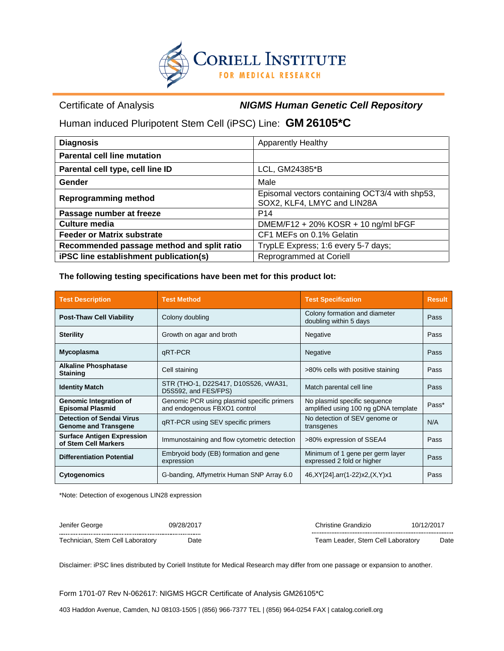

Certificate of Analysis *NIGMS Human Genetic Cell Repository*

Human induced Pluripotent Stem Cell (iPSC) Line: **GM 26105\*C** 

| <b>Diagnosis</b>                           | <b>Apparently Healthy</b>                                                     |  |  |
|--------------------------------------------|-------------------------------------------------------------------------------|--|--|
| <b>Parental cell line mutation</b>         |                                                                               |  |  |
| Parental cell type, cell line ID           | LCL, GM24385*B                                                                |  |  |
| Gender                                     | Male                                                                          |  |  |
| <b>Reprogramming method</b>                | Episomal vectors containing OCT3/4 with shp53,<br>SOX2, KLF4, LMYC and LIN28A |  |  |
| Passage number at freeze                   | P <sub>14</sub>                                                               |  |  |
| Culture media                              | DMEM/F12 + 20% KOSR + 10 ng/ml bFGF                                           |  |  |
| <b>Feeder or Matrix substrate</b>          | CF1 MEFs on 0.1% Gelatin                                                      |  |  |
| Recommended passage method and split ratio | TrypLE Express; 1:6 every 5-7 days;                                           |  |  |
| iPSC line establishment publication(s)     | Reprogrammed at Coriell                                                       |  |  |

**The following testing specifications have been met for this product lot:**

| <b>Test Description</b>                                         | <b>Test Method</b>                                                                                                                                 | <b>Test Specification</b>                               | <b>Result</b> |
|-----------------------------------------------------------------|----------------------------------------------------------------------------------------------------------------------------------------------------|---------------------------------------------------------|---------------|
| <b>Post-Thaw Cell Viability</b>                                 | Colony doubling                                                                                                                                    | Colony formation and diameter<br>doubling within 5 days | Pass          |
| <b>Sterility</b>                                                | Growth on agar and broth                                                                                                                           | Negative                                                | Pass          |
| Mycoplasma                                                      | qRT-PCR<br>Negative                                                                                                                                |                                                         | Pass          |
| <b>Alkaline Phosphatase</b><br><b>Staining</b>                  | Cell staining<br>>80% cells with positive staining                                                                                                 |                                                         | Pass          |
| <b>Identity Match</b>                                           | STR (THO-1, D22S417, D10S526, vWA31,<br>Match parental cell line<br>D5S592, and FES/FPS)                                                           |                                                         | Pass          |
| <b>Genomic Integration of</b><br><b>Episomal Plasmid</b>        | Genomic PCR using plasmid specific primers<br>No plasmid specific sequence<br>and endogenous FBXO1 control<br>amplified using 100 ng gDNA template |                                                         | Pass*         |
| <b>Detection of Sendai Virus</b><br><b>Genome and Transgene</b> | No detection of SEV genome or<br>qRT-PCR using SEV specific primers<br>transgenes                                                                  |                                                         | N/A           |
| <b>Surface Antigen Expression</b><br>of Stem Cell Markers       | Immunostaining and flow cytometric detection<br>>80% expression of SSEA4                                                                           |                                                         | Pass          |
| <b>Differentiation Potential</b>                                | Embryoid body (EB) formation and gene<br>Minimum of 1 gene per germ layer<br>expressed 2 fold or higher<br>expression                              |                                                         | Pass          |
| <b>Cytogenomics</b>                                             | G-banding, Affymetrix Human SNP Array 6.0<br>46, XY [24] .arr(1-22) x 2, (X, Y) x 1                                                                |                                                         | Pass          |

\*Note: Detection of exogenous LIN28 expression

| Jenifer George                   | 09/28/2017 | Christine Grandizio               | 10/12/2017 |
|----------------------------------|------------|-----------------------------------|------------|
|                                  |            |                                   |            |
| Technician, Stem Cell Laboratory | Date       | Team Leader. Stem Cell Laboratorv | Date       |

Disclaimer: iPSC lines distributed by Coriell Institute for Medical Research may differ from one passage or expansion to another.

Form 1701-07 Rev N-062617: NIGMS HGCR Certificate of Analysis GM26105\*C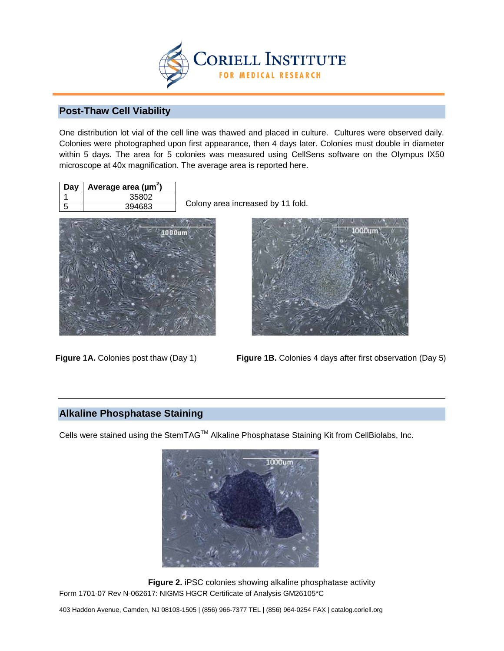

### **Post-Thaw Cell Viability**

One distribution lot vial of the cell line was thawed and placed in culture. Cultures were observed daily. Colonies were photographed upon first appearance, then 4 days later. Colonies must double in diameter within 5 days. The area for 5 colonies was measured using CellSens software on the Olympus IX50 microscope at 40x magnification. The average area is reported here.

| Dav | Average area (µm <sup>2</sup> ) |
|-----|---------------------------------|
|     | 35802                           |
| 5   | 394683                          |

Colony area increased by 11 fold.



Figure 1A. Colonies post thaw (Day 1)



**Figure 1B.** Colonies 4 days after first observation (Day 5)

### **Alkaline Phosphatase Staining**

Cells were stained using the StemTAG™ Alkaline Phosphatase Staining Kit from CellBiolabs, Inc.



Form 1701-07 Rev N-062617: NIGMS HGCR Certificate of Analysis GM26105\*C **Figure 2.** iPSC colonies showing alkaline phosphatase activity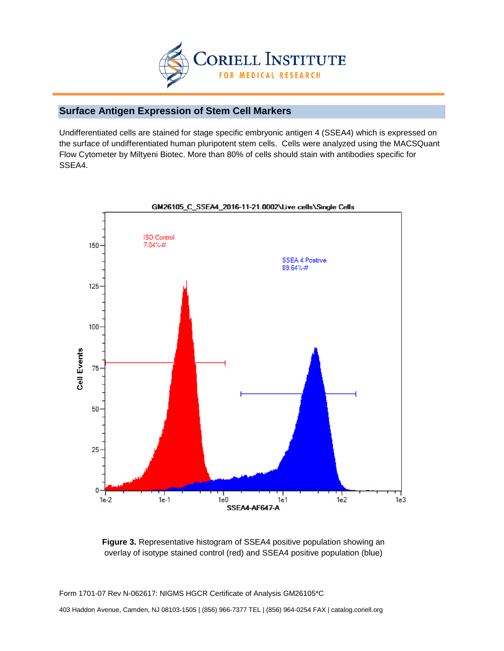

## **Surface Antigen Expression of Stem Cell Markers**

Undifferentiated cells are stained for stage specific embryonic antigen 4 (SSEA4) which is expressed on the surface of undifferentiated human pluripotent stem cells. Cells were analyzed using the MACSQuant Flow Cytometer by Miltyeni Biotec. More than 80% of cells should stain with antibodies specific for SSEA4.



#### GM26105\_C\_SSEA4\_2016-11-21.0002\Live cells\Single Cells

**Figure 3.** Representative histogram of SSEA4 positive population showing an overlay of isotype stained control (red) and SSEA4 positive population (blue)

Form 1701-07 Rev N-062617: NIGMS HGCR Certificate of Analysis GM26105\*C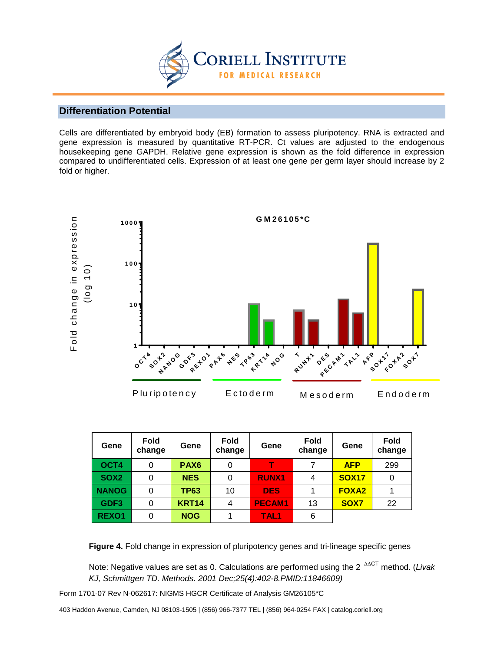

### **Differentiation Potential**

Cells are differentiated by embryoid body (EB) formation to assess pluripotency. RNA is extracted and gene expression is measured by quantitative RT-PCR. Ct values are adjusted to the endogenous housekeeping gene GAPDH. Relative gene expression is shown as the fold difference in expression compared to undifferentiated cells. Expression of at least one gene per germ layer should increase by 2 fold or higher.



| Gene             | Fold<br>change | Gene             | <b>Fold</b><br>change | Gene             | <b>Fold</b><br>change | Gene         | <b>Fold</b><br>change |
|------------------|----------------|------------------|-----------------------|------------------|-----------------------|--------------|-----------------------|
| OCT4             | 0              | PAX <sub>6</sub> | 0                     |                  |                       | <b>AFP</b>   | 299                   |
| SOX <sub>2</sub> | 0              | <b>NES</b>       | 0                     | <b>RUNX1</b>     | 4                     | <b>SOX17</b> | 0                     |
| <b>NANOG</b>     | 0              | <b>TP63</b>      | 10                    | <b>DES</b>       |                       | <b>FOXA2</b> |                       |
| GDF <sub>3</sub> | 0              | <b>KRT14</b>     | 4                     | <b>PECAM1</b>    | 13                    | <b>SOX7</b>  | 22                    |
| <b>REXO1</b>     | 0              | <b>NOG</b>       |                       | TAL <sub>1</sub> | 6                     |              |                       |

**Figure 4.** Fold change in expression of pluripotency genes and tri-lineage specific genes

Note: Negative values are set as 0. Calculations are performed using the 2- ∆∆CT method. (*Livak KJ, Schmittgen TD. Methods. 2001 Dec;25(4):402-8.PMID:11846609)*

Form 1701-07 Rev N-062617: NIGMS HGCR Certificate of Analysis GM26105\*C